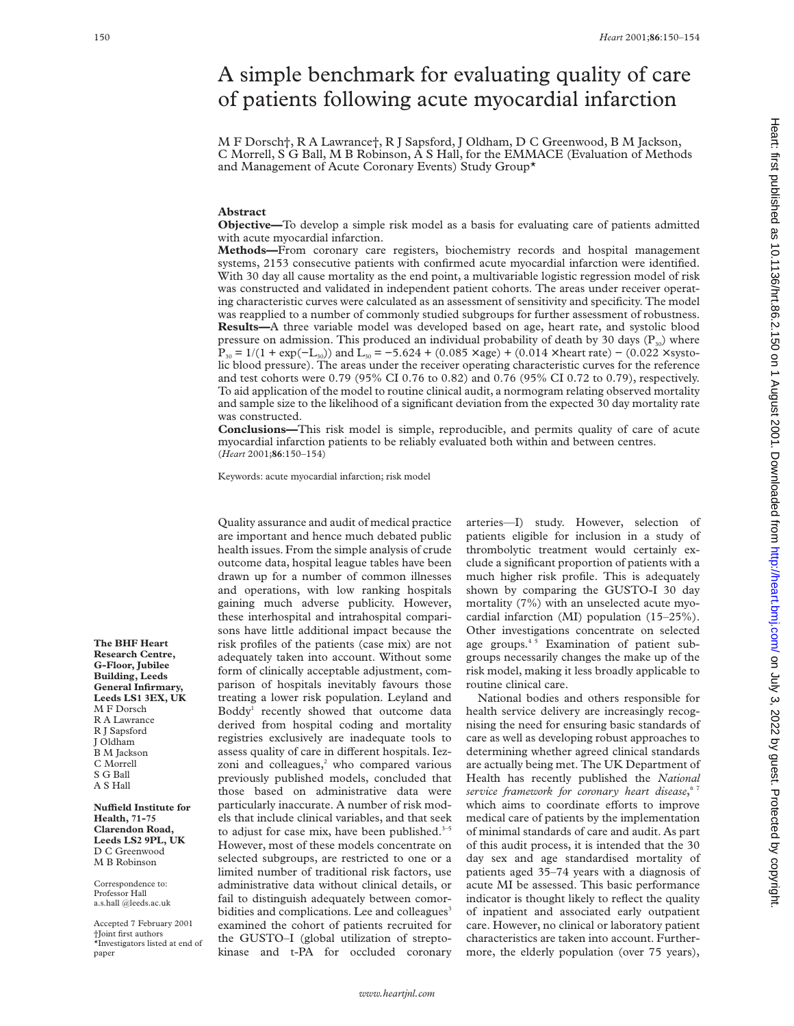# A simple benchmark for evaluating quality of care of patients following acute myocardial infarction

M F Dorsch†, R A Lawrance†, R J Sapsford, J Oldham, D C Greenwood, B M Jackson, C Morrell, S G Ball, M B Robinson, A S Hall, for the EMMACE (Evaluation of Methods and Management of Acute Coronary Events) Study Group\*

## **Abstract**

**Objective—**To develop a simple risk model as a basis for evaluating care of patients admitted with acute myocardial infarction.

**Methods—**From coronary care registers, biochemistry records and hospital management systems, 2153 consecutive patients with confirmed acute myocardial infarction were identified. With 30 day all cause mortality as the end point, a multivariable logistic regression model of risk was constructed and validated in independent patient cohorts. The areas under receiver operating characteristic curves were calculated as an assessment of sensitivity and specificity. The model was reapplied to a number of commonly studied subgroups for further assessment of robustness. **Results—**A three variable model was developed based on age, heart rate, and systolic blood pressure on admission. This produced an individual probability of death by 30 days  $(P_{30})$  where  $P_{30} = 1/(1 + \exp(-L_{30}))$  and  $L_{30} = -5.624 + (0.085 \times \text{age}) + (0.014 \times \text{heart rate}) - (0.022 \times \text{system})$ lic blood pressure). The areas under the receiver operating characteristic curves for the reference and test cohorts were 0.79 (95% CI 0.76 to 0.82) and 0.76 (95% CI 0.72 to 0.79), respectively. To aid application of the model to routine clinical audit, a normogram relating observed mortality and sample size to the likelihood of a significant deviation from the expected 30 day mortality rate was constructed.

**Conclusions—**This risk model is simple, reproducible, and permits quality of care of acute myocardial infarction patients to be reliably evaluated both within and between centres. (*Heart* 2001;**86**:150–154)

Keywords: acute myocardial infarction; risk model

Quality assurance and audit of medical practice are important and hence much debated public health issues. From the simple analysis of crude outcome data, hospital league tables have been drawn up for a number of common illnesses and operations, with low ranking hospitals gaining much adverse publicity. However, these interhospital and intrahospital comparisons have little additional impact because the risk profiles of the patients (case mix) are not adequately taken into account. Without some form of clinically acceptable adjustment, comparison of hospitals inevitably favours those treating a lower risk population. Leyland and Boddy1 recently showed that outcome data derived from hospital coding and mortality registries exclusively are inadequate tools to assess quality of care in different hospitals. Iezzoni and colleagues,<sup>2</sup> who compared various previously published models, concluded that those based on administrative data were particularly inaccurate. A number of risk models that include clinical variables, and that seek to adjust for case mix, have been published. $3-5$ However, most of these models concentrate on selected subgroups, are restricted to one or a limited number of traditional risk factors, use administrative data without clinical details, or fail to distinguish adequately between comorbidities and complications. Lee and colleagues<sup>3</sup> examined the cohort of patients recruited for the GUSTO–I (global utilization of streptokinase and t-PA for occluded coronary

arteries—I) study. However, selection of patients eligible for inclusion in a study of thrombolytic treatment would certainly exclude a significant proportion of patients with a much higher risk profile. This is adequately shown by comparing the GUSTO-I 30 day mortality (7%) with an unselected acute myocardial infarction (MI) population (15–25%). Other investigations concentrate on selected age groups.<sup>45</sup> Examination of patient subgroups necessarily changes the make up of the risk model, making it less broadly applicable to routine clinical care.

National bodies and others responsible for health service delivery are increasingly recognising the need for ensuring basic standards of care as well as developing robust approaches to determining whether agreed clinical standards are actually being met. The UK Department of Health has recently published the *National service framework for coronary heart disease*, 6 7 which aims to coordinate efforts to improve medical care of patients by the implementation of minimal standards of care and audit. As part of this audit process, it is intended that the 30 day sex and age standardised mortality of patients aged 35–74 years with a diagnosis of acute MI be assessed. This basic performance indicator is thought likely to reflect the quality of inpatient and associated early outpatient care. However, no clinical or laboratory patient characteristics are taken into account. Furthermore, the elderly population (over 75 years),

**The BHF Heart Research Centre, G-Floor, Jubilee Building, Leeds General Infirmary, Leeds LS1 3EX, UK** M F Dorsch R A Lawrance R J Sapsford J Oldham B M Jackson C Morrell S G Ball A S Hall

**NuYeld Institute for Health, 71-75 Clarendon Road, Leeds LS2 9PL, UK** D C Greenwood M B Robinson

Correspondence to: Professor Hall a.s.hall @leeds.ac.uk

Accepted 7 February 2001 †Joint first authors \*Investigators listed at end of paper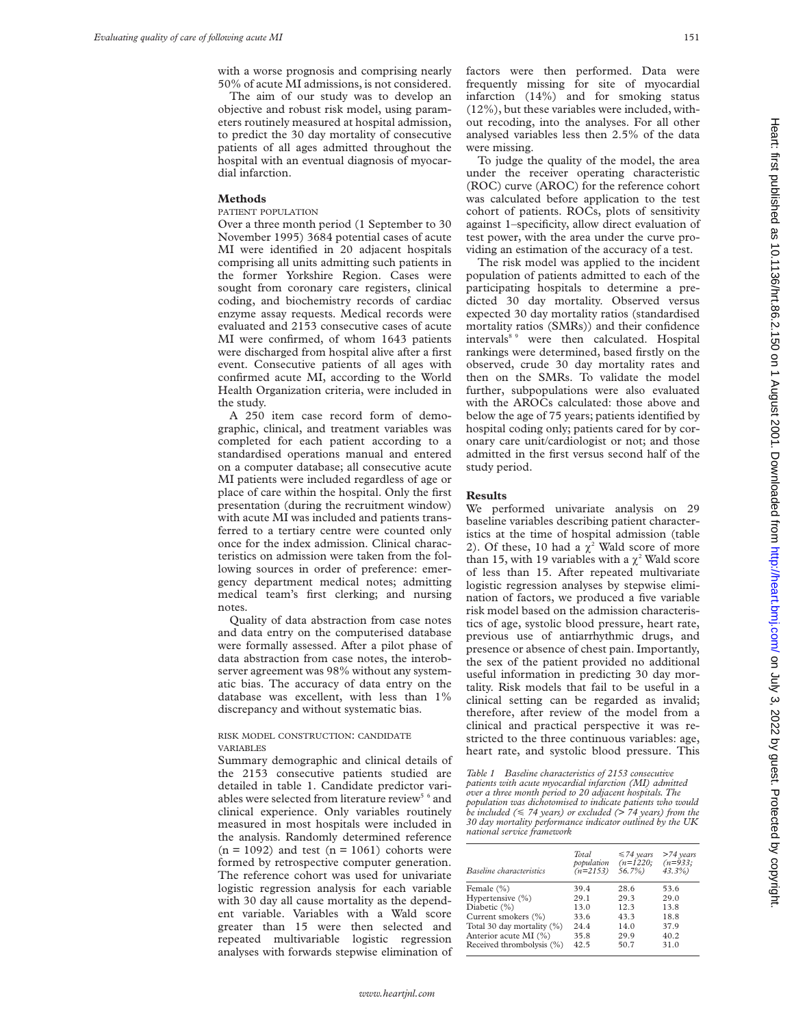with a worse prognosis and comprising nearly 50% of acute MI admissions, is not considered.

The aim of our study was to develop an objective and robust risk model, using parameters routinely measured at hospital admission, to predict the 30 day mortality of consecutive patients of all ages admitted throughout the hospital with an eventual diagnosis of myocardial infarction.

#### **Methods**

## PATIENT POPULATION

Over a three month period (1 September to 30 November 1995) 3684 potential cases of acute MI were identified in 20 adjacent hospitals comprising all units admitting such patients in the former Yorkshire Region. Cases were sought from coronary care registers, clinical coding, and biochemistry records of cardiac enzyme assay requests. Medical records were evaluated and 2153 consecutive cases of acute MI were confirmed, of whom 1643 patients were discharged from hospital alive after a first event. Consecutive patients of all ages with confirmed acute MI, according to the World Health Organization criteria, were included in the study.

A 250 item case record form of demographic, clinical, and treatment variables was completed for each patient according to a standardised operations manual and entered on a computer database; all consecutive acute MI patients were included regardless of age or place of care within the hospital. Only the first presentation (during the recruitment window) with acute MI was included and patients transferred to a tertiary centre were counted only once for the index admission. Clinical characteristics on admission were taken from the following sources in order of preference: emergency department medical notes; admitting medical team's first clerking; and nursing notes.

Quality of data abstraction from case notes and data entry on the computerised database were formally assessed. After a pilot phase of data abstraction from case notes, the interobserver agreement was 98% without any systematic bias. The accuracy of data entry on the database was excellent, with less than 1% discrepancy and without systematic bias.

### RISK MODEL CONSTRUCTION: CANDIDATE VARIABLES

Summary demographic and clinical details of the 2153 consecutive patients studied are detailed in table 1. Candidate predictor variables were selected from literature review $^{\rm 5~6}$  and clinical experience. Only variables routinely measured in most hospitals were included in the analysis. Randomly determined reference  $(n = 1092)$  and test  $(n = 1061)$  cohorts were formed by retrospective computer generation. The reference cohort was used for univariate logistic regression analysis for each variable with 30 day all cause mortality as the dependent variable. Variables with a Wald score greater than 15 were then selected and repeated multivariable logistic regression analyses with forwards stepwise elimination of

factors were then performed. Data were frequently missing for site of myocardial infarction (14%) and for smoking status (12%), but these variables were included, without recoding, into the analyses. For all other analysed variables less then 2.5% of the data were missing.

To judge the quality of the model, the area under the receiver operating characteristic (ROC) curve (AROC) for the reference cohort was calculated before application to the test cohort of patients. ROCs, plots of sensitivity against 1–specificity, allow direct evaluation of test power, with the area under the curve providing an estimation of the accuracy of a test.

The risk model was applied to the incident population of patients admitted to each of the participating hospitals to determine a predicted 30 day mortality. Observed versus expected 30 day mortality ratios (standardised mortality ratios (SMRs)) and their confidence intervals<sup>8,9</sup> were then calculated. Hospital rankings were determined, based firstly on the observed, crude 30 day mortality rates and then on the SMRs. To validate the model further, subpopulations were also evaluated with the AROCs calculated: those above and below the age of 75 years; patients identified by hospital coding only; patients cared for by coronary care unit/cardiologist or not; and those admitted in the first versus second half of the study period.

#### **Results**

We performed univariate analysis on 29 baseline variables describing patient characteristics at the time of hospital admission (table 2). Of these, 10 had a  $\chi^2$  Wald score of more than 15, with 19 variables with a  $\chi^2$  Wald score of less than 15. After repeated multivariate logistic regression analyses by stepwise elimination of factors, we produced a five variable risk model based on the admission characteristics of age, systolic blood pressure, heart rate, previous use of antiarrhythmic drugs, and presence or absence of chest pain. Importantly, the sex of the patient provided no additional useful information in predicting 30 day mortality. Risk models that fail to be useful in a clinical setting can be regarded as invalid; therefore, after review of the model from a clinical and practical perspective it was restricted to the three continuous variables: age, heart rate, and systolic blood pressure. This

*Table 1 Baseline characteristics of 2153 consecutive patients with acute myocardial infarction (MI) admitted over a three month period to 20 adjacent hospitals. The population was dichotomised to indicate patients who would be included (*< *74 years) or excluded (> 74 years) from the 30 day mortality performance indicator outlined by the UK national service framework*

| Baseline characteristics   | Total<br>population<br>$(n=2153)$ | $\leq 74$ years<br>$(n=1220;$<br>$56.7\%$ | $>74$ years<br>$(n=933;$<br>$43.3\%$ |
|----------------------------|-----------------------------------|-------------------------------------------|--------------------------------------|
| Female $(\% )$             | 39.4                              | 28.6                                      | 53.6                                 |
| Hypertensive (%)           | 29.1                              | 29.3                                      | 29.0                                 |
| Diabetic (%)               | 13.0                              | 12.3                                      | 13.8                                 |
| Current smokers (%)        | 33.6                              | 43.3                                      | 18.8                                 |
| Total 30 day mortality (%) | 24.4                              | 14.0                                      | 37.9                                 |
| Anterior acute MI (%)      | 35.8                              | 29.9                                      | 40.2                                 |
| Received thrombolysis (%)  | 42.5                              | 50.7                                      | 31.0                                 |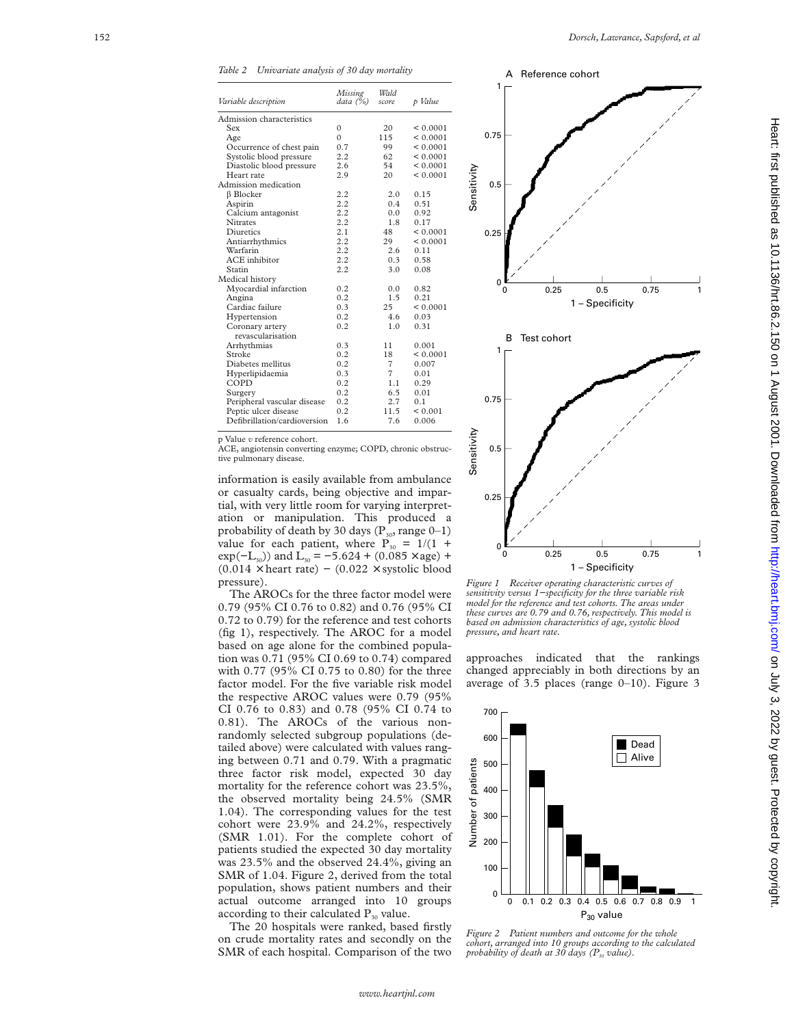*Table 2 Univariate analysis of 30 day mortality*

| Variable description         | <b>Missing</b><br>data (%) | Wald<br>score  | p Value      |
|------------------------------|----------------------------|----------------|--------------|
| Admission characteristics    |                            |                |              |
| Sex                          | $\mathbf{0}$               | 20             | < 0.0001     |
| Age                          | $\theta$                   | 115            | < 0.0001     |
| Occurrence of chest pain     | 0.7                        | 99             | < 0.0001     |
| Systolic blood pressure      | 2.2                        | 62             | < 0.0001     |
| Diastolic blood pressure     | 2.6                        | 54             | < 0.0001     |
| Heart rate                   | 2.9                        | 20             | < 0.0001     |
| Admission medication         |                            |                |              |
| <b>B</b> Blocker             | 2.2                        | 2.0            | 0.15         |
| Aspirin                      | 2.2                        | 0.4            | 0.51         |
| Calcium antagonist           | 2.2                        | 0.0            | 0.92         |
| <b>Nitrates</b>              | 2.2                        | 1.8            | 0.17         |
| Diuretics                    | 2.1                        | 48             | < 0.0001     |
| Antiarrhythmics              | 2.2                        | 29             | < 0.0001     |
| Warfarin                     | 2.2                        | 2.6            | 0.11         |
| ACE inhibitor                | 2.2                        | 0.3            | 0.58         |
| Statin                       | 2.2                        | 3.0            | 0.08         |
| Medical history              |                            |                |              |
| Myocardial infarction        | 0.2                        | 0.0            | 0.82         |
| Angina                       | 0.2                        | 1.5            | 0.21         |
| Cardiac failure              | 0.3                        | 25             | < 0.0001     |
| Hypertension                 | 0.2                        | 4.6            | 0.03         |
| Coronary artery              | 0.2                        | 1.0            | 0.31         |
| revascularisation            |                            |                |              |
| Arrhythmias                  | 0.3                        | 11             | 0.001        |
| Stroke                       | 0.2                        | 18             | < 0.0001     |
| Diabetes mellitus            | 0.2                        | 7              | 0.007        |
| Hyperlipidaemia              | 0.3                        | $\overline{7}$ | 0.01         |
| COPD                         | 0.2                        | 1.1            | 0.29         |
| Surgery                      | 0.2                        | 6.5            | 0.01         |
| Peripheral vascular disease  | 0.2                        | 2.7            | 0.1          |
| Peptic ulcer disease         | 0.2                        | 11.5           | ${}_{0.001}$ |
| Defibrillation/cardioversion | 1.6                        | 7.6            | 0.006        |
| n Volug « rafaranca cohort   |                            |                |              |

p Value

p Value *v* reference cohort.<br>ACE, angiotensin converting enzyme; COPD, chronic obstructive pulmonary disease.

information is easily available from ambulance or casualty cards, being objective and impartial, with very little room for varying interpretation or manipulation. This produced a probability of death by 30 days  $(P_{30}$ , range 0–1) value for each patient, where  $P_{30} = 1/(1 +$  $exp(-L_{30})$  and  $L_{30} = -5.624 + (0.085 \times age) +$  $(0.014 \times \text{heart rate})$  –  $(0.022 \times \text{systolic blood})$ pressure).

The AROCs for the three factor model were 0.79 (95% CI 0.76 to 0.82) and 0.76 (95% CI 0.72 to 0.79) for the reference and test cohorts (fig 1), respectively. The AROC for a model based on age alone for the combined population was 0.71 (95% CI 0.69 to 0.74) compared with 0.77 (95% CI 0.75 to 0.80) for the three factor model. For the five variable risk model the respective AROC values were 0.79 (95% CI 0.76 to 0.83) and 0.78 (95% CI 0.74 to 0.81). The AROCs of the various nonrandomly selected subgroup populations (detailed above) were calculated with values ranging between 0.71 and 0.79. With a pragmatic three factor risk model, expected 30 day mortality for the reference cohort was 23.5%, the observed mortality being 24.5% (SMR 1.04). The corresponding values for the test cohort were 23.9% and 24.2%, respectively (SMR 1.01). For the complete cohort of patients studied the expected 30 day mortality was 23.5% and the observed 24.4%, giving an SMR of 1.04. Figure 2, derived from the total population, shows patient numbers and their actual outcome arranged into 10 groups according to their calculated  $P_{30}$  value.

The 20 hospitals were ranked, based firstly on crude mortality rates and secondly on the SMR of each hospital. Comparison of the two



*Figure 1 Receiver operating characteristic curves of sensitivity versus 1−specificity for the three variable risk model for the reference and test cohorts. The areas under these curves are 0.79 and 0.76, respectively. This model is based on admission characteristics of age, systolic blood*

approaches indicated that the rankings changed appreciably in both directions by an average of 3.5 places (range 0–10). Figure 3



*Figure 2 Patient numbers and outcome for the whole cohort, arranged into 10 groups according to the calculated probability of death at 30 days (P30 value).*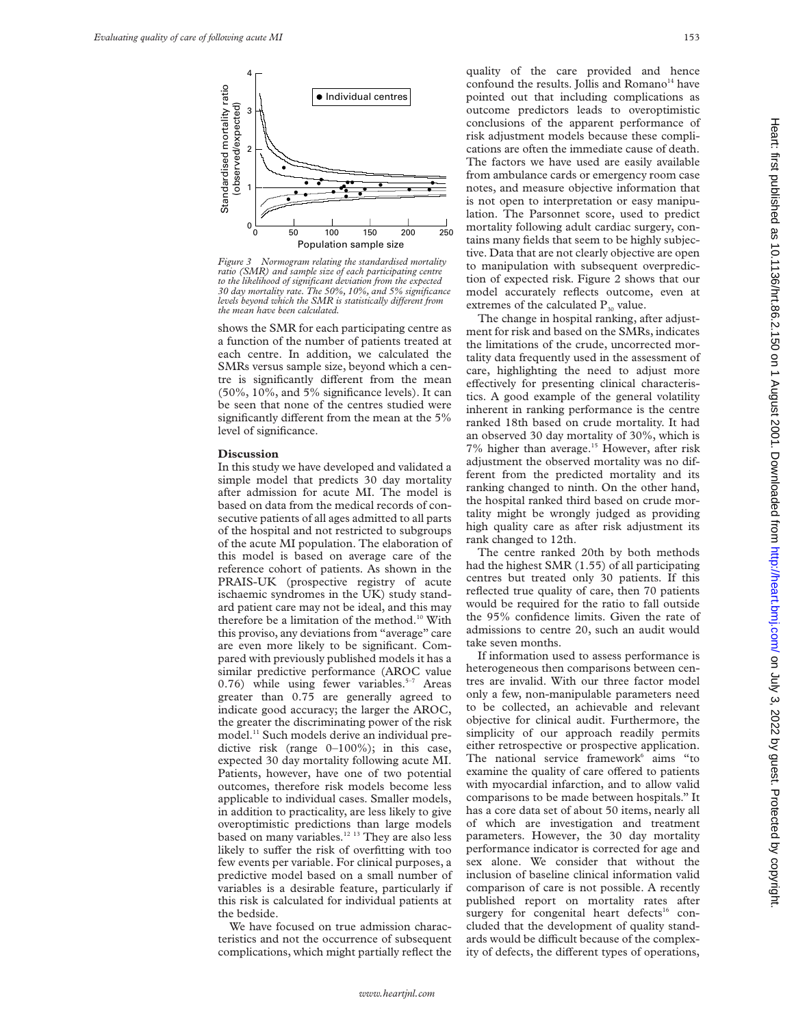

*Figure 3 Normogram relating the standardised mortality ratio (SMR) and sample size of each participating centre to the likelihood of significant deviation from the expected 30 day mortality rate. The 50%, 10%, and 5% significance levels beyond which the SMR is statistically diVerent from the mean have been calculated.*

shows the SMR for each participating centre as a function of the number of patients treated at each centre. In addition, we calculated the SMRs versus sample size, beyond which a centre is significantly different from the mean (50%, 10%, and 5% significance levels). It can be seen that none of the centres studied were significantly different from the mean at the  $5%$ level of significance.

#### **Discussion**

In this study we have developed and validated a simple model that predicts 30 day mortality after admission for acute MI. The model is based on data from the medical records of consecutive patients of all ages admitted to all parts of the hospital and not restricted to subgroups of the acute MI population. The elaboration of this model is based on average care of the reference cohort of patients. As shown in the PRAIS-UK (prospective registry of acute ischaemic syndromes in the UK) study standard patient care may not be ideal, and this may therefore be a limitation of the method.<sup>10</sup> With this proviso, any deviations from "average" care are even more likely to be significant. Compared with previously published models it has a similar predictive performance (AROC value 0.76) while using fewer variables. $5-7$  Areas greater than 0.75 are generally agreed to indicate good accuracy; the larger the AROC, the greater the discriminating power of the risk model.<sup>11</sup> Such models derive an individual predictive risk (range 0–100%); in this case, expected 30 day mortality following acute MI. Patients, however, have one of two potential outcomes, therefore risk models become less applicable to individual cases. Smaller models, in addition to practicality, are less likely to give overoptimistic predictions than large models based on many variables.12 13 They are also less likely to suffer the risk of overfitting with too few events per variable. For clinical purposes, a predictive model based on a small number of variables is a desirable feature, particularly if this risk is calculated for individual patients at the bedside.

We have focused on true admission characteristics and not the occurrence of subsequent complications, which might partially reflect the quality of the care provided and hence confound the results. Jollis and Romano<sup>14</sup> have pointed out that including complications as outcome predictors leads to overoptimistic conclusions of the apparent performance of risk adjustment models because these complications are often the immediate cause of death. The factors we have used are easily available from ambulance cards or emergency room case notes, and measure objective information that is not open to interpretation or easy manipulation. The Parsonnet score, used to predict mortality following adult cardiac surgery, contains many fields that seem to be highly subjective. Data that are not clearly objective are open to manipulation with subsequent overprediction of expected risk. Figure 2 shows that our model accurately reflects outcome, even at extremes of the calculated  $P_{30}$  value.

The change in hospital ranking, after adjustment for risk and based on the SMRs, indicates the limitations of the crude, uncorrected mortality data frequently used in the assessment of care, highlighting the need to adjust more effectively for presenting clinical characteristics. A good example of the general volatility inherent in ranking performance is the centre ranked 18th based on crude mortality. It had an observed 30 day mortality of 30%, which is 7% higher than average.<sup>15</sup> However, after risk adjustment the observed mortality was no different from the predicted mortality and its ranking changed to ninth. On the other hand, the hospital ranked third based on crude mortality might be wrongly judged as providing high quality care as after risk adjustment its rank changed to 12th.

The centre ranked 20th by both methods had the highest SMR (1.55) of all participating centres but treated only 30 patients. If this reflected true quality of care, then 70 patients would be required for the ratio to fall outside the 95% confidence limits. Given the rate of admissions to centre 20, such an audit would take seven months.

If information used to assess performance is heterogeneous then comparisons between centres are invalid. With our three factor model only a few, non-manipulable parameters need to be collected, an achievable and relevant objective for clinical audit. Furthermore, the simplicity of our approach readily permits either retrospective or prospective application. The national service framework $6$  aims "to examine the quality of care offered to patients with myocardial infarction, and to allow valid comparisons to be made between hospitals." It has a core data set of about 50 items, nearly all of which are investigation and treatment parameters. However, the 30 day mortality performance indicator is corrected for age and sex alone. We consider that without the inclusion of baseline clinical information valid comparison of care is not possible. A recently published report on mortality rates after surgery for congenital heart defects<sup>16</sup> concluded that the development of quality standards would be difficult because of the complexity of defects, the different types of operations,